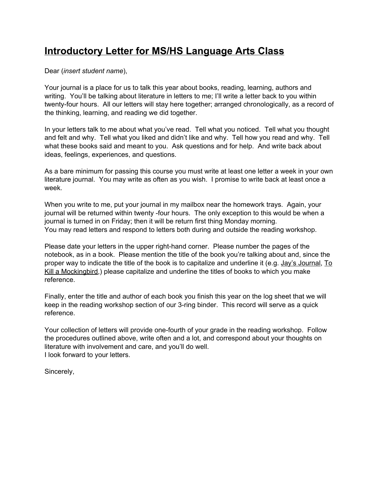## **Introductory Letter for MS/HS Language Arts Class**

## Dear (*insert student name*),

Your journal is a place for us to talk this year about books, reading, learning, authors and writing. You'll be talking about literature in letters to me; I'll write a letter back to you within twenty-four hours. All our letters will stay here together; arranged chronologically, as a record of the thinking, learning, and reading we did together.

In your letters talk to me about what you've read. Tell what you noticed. Tell what you thought and felt and why. Tell what you liked and didn't like and why. Tell how you read and why. Tell what these books said and meant to you. Ask questions and for help. And write back about ideas, feelings, experiences, and questions.

As a bare minimum for passing this course you must write at least one letter a week in your own literature journal. You may write as often as you wish. I promise to write back at least once a week.

When you write to me, put your journal in my mailbox near the homework trays. Again, your journal will be returned within twenty -four hours. The only exception to this would be when a journal is turned in on Friday; then it will be return first thing Monday morning. You may read letters and respond to letters both during and outside the reading workshop.

Please date your letters in the upper right-hand corner. Please number the pages of the notebook, as in a book. Please mention the title of the book you're talking about and, since the proper way to indicate the title of the book is to capitalize and underline it (e.g. Jay's Journal, To Kill a Mockingbird,) please capitalize and underline the titles of books to which you make reference.

Finally, enter the title and author of each book you finish this year on the log sheet that we will keep in the reading workshop section of our 3-ring binder. This record will serve as a quick reference.

Your collection of letters will provide one-fourth of your grade in the reading workshop. Follow the procedures outlined above, write often and a lot, and correspond about your thoughts on literature with involvement and care, and you'll do well. I look forward to your letters.

Sincerely,